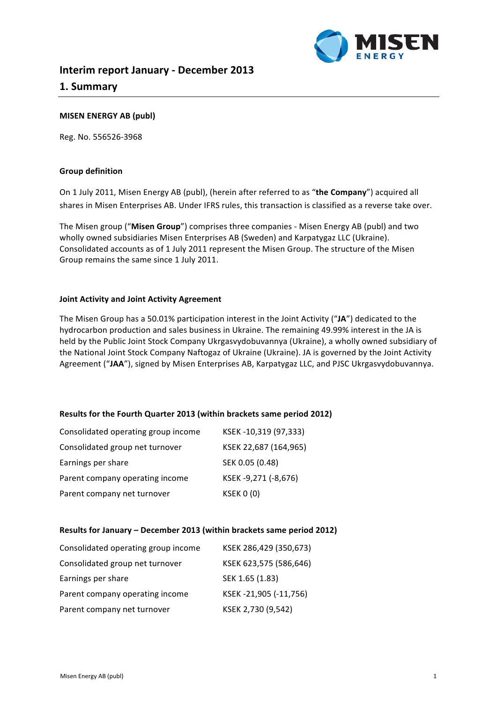

# **MISEN ENERGY AB (publ)**

Reg. No. 556526-3968

#### **Group definition**

On 1 July 2011, Misen Energy AB (publ), (herein after referred to as "the Company") acquired all shares in Misen Enterprises AB. Under IFRS rules, this transaction is classified as a reverse take over.

The Misen group ("Misen Group") comprises three companies - Misen Energy AB (publ) and two wholly owned subsidiaries Misen Enterprises AB (Sweden) and Karpatygaz LLC (Ukraine). Consolidated accounts as of 1 July 2011 represent the Misen Group. The structure of the Misen Group remains the same since 1 July 2011.

#### **Joint Activity and Joint Activity Agreement**

The Misen Group has a 50.01% participation interest in the Joint Activity ("JA") dedicated to the hydrocarbon production and sales business in Ukraine. The remaining 49.99% interest in the JA is held by the Public Joint Stock Company Ukrgasvydobuvannya (Ukraine), a wholly owned subsidiary of the National Joint Stock Company Naftogaz of Ukraine (Ukraine). JA is governed by the Joint Activity Agreement ("JAA"), signed by Misen Enterprises AB, Karpatygaz LLC, and PJSC Ukrgasvydobuvannya.

## **Results for the Fourth Quarter 2013 (within brackets same period 2012)**

| Consolidated operating group income | KSEK-10,319 (97,333)  |
|-------------------------------------|-----------------------|
| Consolidated group net turnover     | KSEK 22,687 (164,965) |
| Earnings per share                  | SEK 0.05 (0.48)       |
| Parent company operating income     | KSEK-9,271 (-8,676)   |
| Parent company net turnover         | <b>KSEK 0 (0)</b>     |

#### **Results for January - December 2013 (within brackets same period 2012)**

| Consolidated operating group income | KSEK 286,429 (350,673) |
|-------------------------------------|------------------------|
| Consolidated group net turnover     | KSEK 623,575 (586,646) |
| Earnings per share                  | SEK 1.65 (1.83)        |
| Parent company operating income     | KSEK-21,905 (-11,756)  |
| Parent company net turnover         | KSEK 2,730 (9,542)     |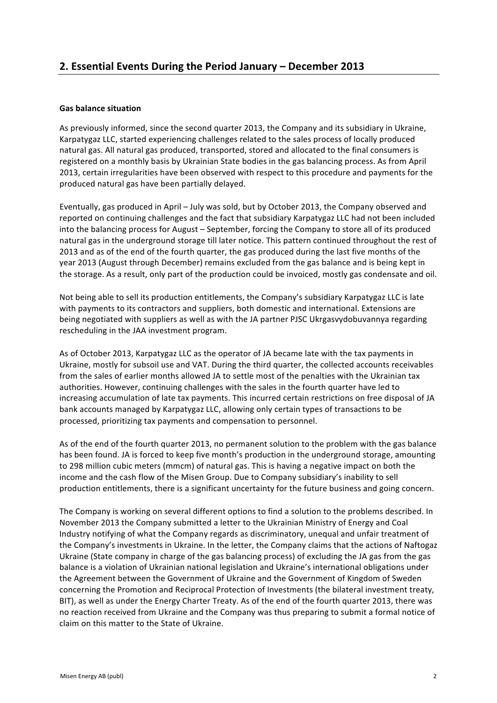## **Gas balance situation**

As previously informed, since the second quarter 2013, the Company and its subsidiary in Ukraine, Karpatygaz LLC, started experiencing challenges related to the sales process of locally produced natural gas. All natural gas produced, transported, stored and allocated to the final consumers is registered on a monthly basis by Ukrainian State bodies in the gas balancing process. As from April 2013, certain irregularities have been observed with respect to this procedure and payments for the produced natural gas have been partially delayed.

Eventually, gas produced in April - July was sold, but by October 2013, the Company observed and reported on continuing challenges and the fact that subsidiary Karpatygaz LLC had not been included into the balancing process for August – September, forcing the Company to store all of its produced natural gas in the underground storage till later notice. This pattern continued throughout the rest of 2013 and as of the end of the fourth quarter, the gas produced during the last five months of the year 2013 (August through December) remains excluded from the gas balance and is being kept in the storage. As a result, only part of the production could be invoiced, mostly gas condensate and oil.

Not being able to sell its production entitlements, the Company's subsidiary Karpatygaz LLC is late with payments to its contractors and suppliers, both domestic and international. Extensions are being negotiated with suppliers as well as with the JA partner PJSC Ukrgasvydobuvannya regarding rescheduling in the JAA investment program.

As of October 2013, Karpatygaz LLC as the operator of JA became late with the tax payments in Ukraine, mostly for subsoil use and VAT. During the third quarter, the collected accounts receivables from the sales of earlier months allowed JA to settle most of the penalties with the Ukrainian tax authorities. However, continuing challenges with the sales in the fourth quarter have led to increasing accumulation of late tax payments. This incurred certain restrictions on free disposal of JA bank accounts managed by Karpatygaz LLC, allowing only certain types of transactions to be processed, prioritizing tax payments and compensation to personnel.

As of the end of the fourth quarter 2013, no permanent solution to the problem with the gas balance has been found. JA is forced to keep five month's production in the underground storage, amounting to 298 million cubic meters (mmcm) of natural gas. This is having a negative impact on both the income and the cash flow of the Misen Group. Due to Company subsidiary's inability to sell production entitlements, there is a significant uncertainty for the future business and going concern.

The Company is working on several different options to find a solution to the problems described. In November 2013 the Company submitted a letter to the Ukrainian Ministry of Energy and Coal Industry notifying of what the Company regards as discriminatory, unequal and unfair treatment of the Company's investments in Ukraine. In the letter, the Company claims that the actions of Naftogaz Ukraine (State company in charge of the gas balancing process) of excluding the JA gas from the gas balance is a violation of Ukrainian national legislation and Ukraine's international obligations under the Agreement between the Government of Ukraine and the Government of Kingdom of Sweden concerning the Promotion and Reciprocal Protection of Investments (the bilateral investment treaty, BIT), as well as under the Energy Charter Treaty. As of the end of the fourth quarter 2013, there was no reaction received from Ukraine and the Company was thus preparing to submit a formal notice of claim on this matter to the State of Ukraine.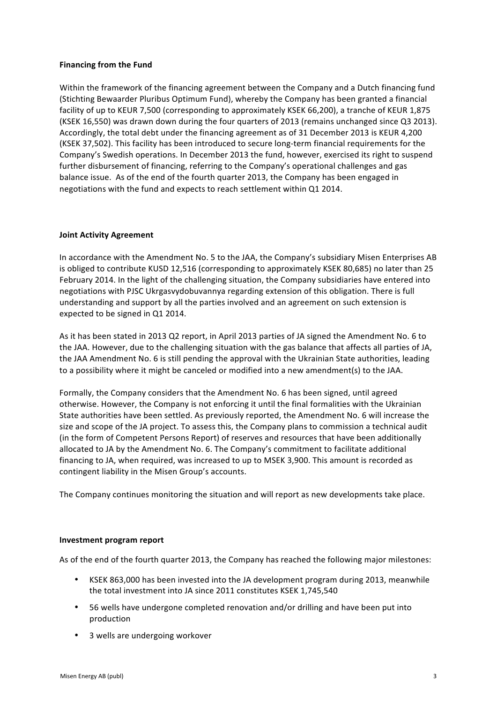#### **Financing from the Fund**

Within the framework of the financing agreement between the Company and a Dutch financing fund (Stichting Bewaarder Pluribus Optimum Fund), whereby the Company has been granted a financial facility of up to KEUR 7,500 (corresponding to approximately KSEK 66,200), a tranche of KEUR 1,875 (KSEK 16,550) was drawn down during the four quarters of 2013 (remains unchanged since Q3 2013). Accordingly, the total debt under the financing agreement as of 31 December 2013 is KEUR 4,200 (KSEK 37,502). This facility has been introduced to secure long-term financial requirements for the Company's Swedish operations. In December 2013 the fund, however, exercised its right to suspend further disbursement of financing, referring to the Company's operational challenges and gas balance issue. As of the end of the fourth quarter 2013, the Company has been engaged in negotiations with the fund and expects to reach settlement within Q1 2014.

## **Joint Activity Agreement**

In accordance with the Amendment No. 5 to the JAA, the Company's subsidiary Misen Enterprises AB is obliged to contribute KUSD 12,516 (corresponding to approximately KSEK 80,685) no later than 25 February 2014. In the light of the challenging situation, the Company subsidiaries have entered into negotiations with PJSC Ukrgasvydobuvannya regarding extension of this obligation. There is full understanding and support by all the parties involved and an agreement on such extension is expected to be signed in Q1 2014.

As it has been stated in 2013 Q2 report, in April 2013 parties of JA signed the Amendment No. 6 to the JAA. However, due to the challenging situation with the gas balance that affects all parties of JA, the JAA Amendment No. 6 is still pending the approval with the Ukrainian State authorities, leading to a possibility where it might be canceled or modified into a new amendment(s) to the JAA.

Formally, the Company considers that the Amendment No. 6 has been signed, until agreed otherwise. However, the Company is not enforcing it until the final formalities with the Ukrainian State authorities have been settled. As previously reported, the Amendment No. 6 will increase the size and scope of the JA project. To assess this, the Company plans to commission a technical audit (in the form of Competent Persons Report) of reserves and resources that have been additionally allocated to JA by the Amendment No. 6. The Company's commitment to facilitate additional financing to JA, when required, was increased to up to MSEK 3,900. This amount is recorded as contingent liability in the Misen Group's accounts.

The Company continues monitoring the situation and will report as new developments take place.

#### **Investment program report**

As of the end of the fourth quarter 2013, the Company has reached the following major milestones:

- KSEK 863,000 has been invested into the JA development program during 2013, meanwhile the total investment into JA since 2011 constitutes KSEK 1.745.540
- 56 wells have undergone completed renovation and/or drilling and have been put into production
- 3 wells are undergoing workover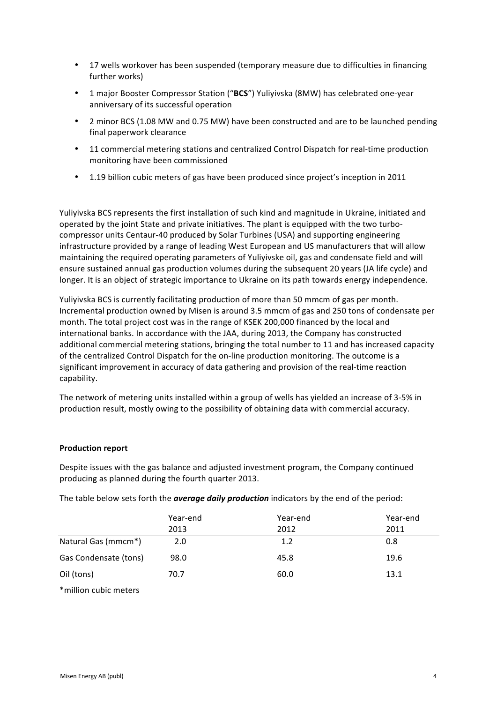- 17 wells workover has been suspended (temporary measure due to difficulties in financing further works)
- 1 major Booster Compressor Station ("BCS") Yuliyivska (8MW) has celebrated one-year anniversary of its successful operation
- 2 minor BCS (1.08 MW and 0.75 MW) have been constructed and are to be launched pending final paperwork clearance
- 11 commercial metering stations and centralized Control Dispatch for real-time production monitoring have been commissioned
- 1.19 billion cubic meters of gas have been produced since project's inception in 2011

Yuliyivska BCS represents the first installation of such kind and magnitude in Ukraine, initiated and operated by the joint State and private initiatives. The plant is equipped with the two turbocompressor units Centaur-40 produced by Solar Turbines (USA) and supporting engineering infrastructure provided by a range of leading West European and US manufacturers that will allow maintaining the required operating parameters of Yuliyivske oil, gas and condensate field and will ensure sustained annual gas production volumes during the subsequent 20 years (JA life cycle) and longer. It is an object of strategic importance to Ukraine on its path towards energy independence.

Yuliviyska BCS is currently facilitating production of more than 50 mmcm of gas per month. Incremental production owned by Misen is around 3.5 mmcm of gas and 250 tons of condensate per month. The total project cost was in the range of KSEK 200,000 financed by the local and international banks. In accordance with the JAA, during 2013, the Company has constructed additional commercial metering stations, bringing the total number to 11 and has increased capacity of the centralized Control Dispatch for the on-line production monitoring. The outcome is a significant improvement in accuracy of data gathering and provision of the real-time reaction capability. 

The network of metering units installed within a group of wells has yielded an increase of 3-5% in production result, mostly owing to the possibility of obtaining data with commercial accuracy.

## **Production report**

Despite issues with the gas balance and adjusted investment program, the Company continued producing as planned during the fourth quarter 2013.

The table below sets forth the **average daily production** indicators by the end of the period:

|                       | Year-end<br>2013 | Year-end<br>2012 | Year-end<br>2011 |
|-----------------------|------------------|------------------|------------------|
| Natural Gas (mmcm*)   | 2.0              | 1.2              | 0.8              |
| Gas Condensate (tons) | 98.0             | 45.8             | 19.6             |
| Oil (tons)            | 70.7             | 60.0             | 13.1             |

\*million cubic meters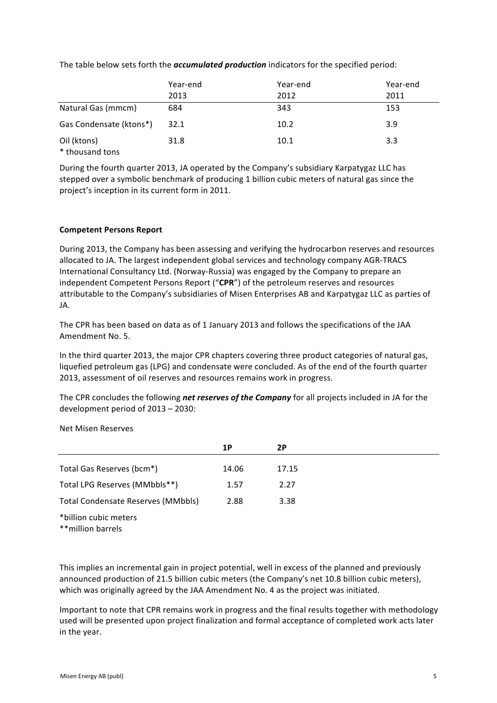The table below sets forth the *accumulated production* indicators for the specified period:

|                                | Year-end | Year-end | Year-end |
|--------------------------------|----------|----------|----------|
|                                | 2013     | 2012     | 2011     |
| Natural Gas (mmcm)             | 684      | 343      | 153      |
| Gas Condensate (ktons*)        | 32.1     | 10.2     | 3.9      |
| Oil (ktons)<br>* thousand tons | 31.8     | 10.1     | 3.3      |

During the fourth quarter 2013, JA operated by the Company's subsidiary Karpatygaz LLC has stepped over a symbolic benchmark of producing 1 billion cubic meters of natural gas since the project's inception in its current form in 2011.

## **Competent Persons Report**

During 2013, the Company has been assessing and verifying the hydrocarbon reserves and resources allocated to JA. The largest independent global services and technology company AGR-TRACS International Consultancy Ltd. (Norway-Russia) was engaged by the Company to prepare an independent Competent Persons Report ("CPR") of the petroleum reserves and resources attributable to the Company's subsidiaries of Misen Enterprises AB and Karpatygaz LLC as parties of JA.

The CPR has been based on data as of 1 January 2013 and follows the specifications of the JAA Amendment No. 5. 

In the third quarter 2013, the major CPR chapters covering three product categories of natural gas, liquefied petroleum gas (LPG) and condensate were concluded. As of the end of the fourth quarter 2013, assessment of oil reserves and resources remains work in progress.

The CPR concludes the following *net reserves of the Company* for all projects included in JA for the development period of 2013 - 2030:

Net Misen Reserves

|                                             | 1P    | 2P    |
|---------------------------------------------|-------|-------|
| Total Gas Reserves (bcm*)                   | 14.06 | 17.15 |
| Total LPG Reserves (MMbbls**)               | 1.57  | 2.27  |
| Total Condensate Reserves (MMbbls)          | 2.88  | 3.38  |
| *billion cubic meters<br>** million barrels |       |       |

This implies an incremental gain in project potential, well in excess of the planned and previously announced production of 21.5 billion cubic meters (the Company's net 10.8 billion cubic meters), which was originally agreed by the JAA Amendment No. 4 as the project was initiated.

Important to note that CPR remains work in progress and the final results together with methodology used will be presented upon project finalization and formal acceptance of completed work acts later in the year.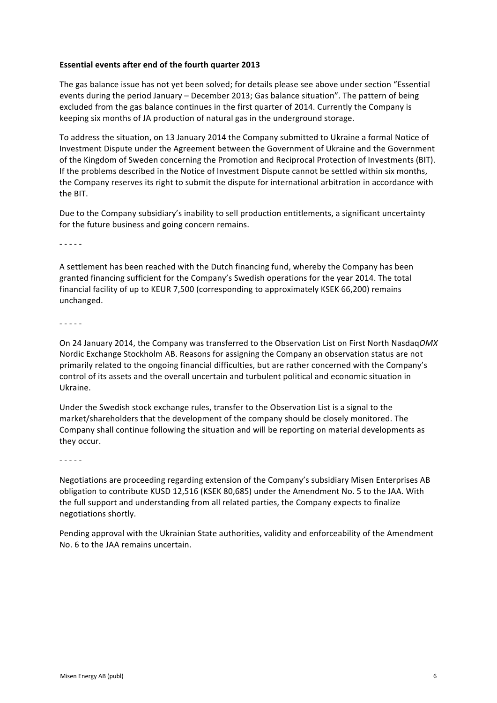#### **Essential events after end of the fourth quarter 2013**

The gas balance issue has not yet been solved; for details please see above under section "Essential events during the period January - December 2013; Gas balance situation". The pattern of being excluded from the gas balance continues in the first quarter of 2014. Currently the Company is keeping six months of JA production of natural gas in the underground storage.

To address the situation, on 13 January 2014 the Company submitted to Ukraine a formal Notice of Investment Dispute under the Agreement between the Government of Ukraine and the Government of the Kingdom of Sweden concerning the Promotion and Reciprocal Protection of Investments (BIT). If the problems described in the Notice of Investment Dispute cannot be settled within six months, the Company reserves its right to submit the dispute for international arbitration in accordance with the BIT.

Due to the Company subsidiary's inability to sell production entitlements, a significant uncertainty for the future business and going concern remains.

- - - - -

A settlement has been reached with the Dutch financing fund, whereby the Company has been granted financing sufficient for the Company's Swedish operations for the year 2014. The total financial facility of up to KEUR 7,500 (corresponding to approximately KSEK 66,200) remains unchanged.

- - - - -

On 24 January 2014, the Company was transferred to the Observation List on First North NasdaqOMX Nordic Exchange Stockholm AB. Reasons for assigning the Company an observation status are not primarily related to the ongoing financial difficulties, but are rather concerned with the Company's control of its assets and the overall uncertain and turbulent political and economic situation in Ukraine.

Under the Swedish stock exchange rules, transfer to the Observation List is a signal to the market/shareholders that the development of the company should be closely monitored. The Company shall continue following the situation and will be reporting on material developments as they occur.

- - - - -

Negotiations are proceeding regarding extension of the Company's subsidiary Misen Enterprises AB obligation to contribute KUSD 12,516 (KSEK 80,685) under the Amendment No. 5 to the JAA. With the full support and understanding from all related parties, the Company expects to finalize negotiations shortly.

Pending approval with the Ukrainian State authorities, validity and enforceability of the Amendment No. 6 to the JAA remains uncertain.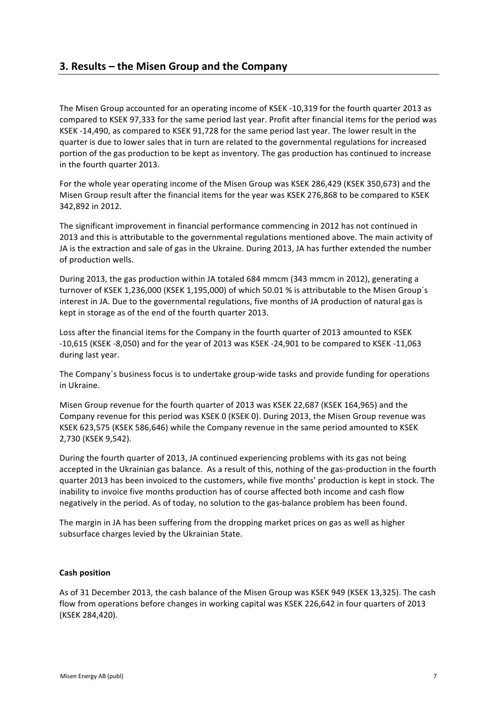The Misen Group accounted for an operating income of KSEK -10,319 for the fourth quarter 2013 as compared to KSEK 97,333 for the same period last year. Profit after financial items for the period was KSEK -14,490, as compared to KSEK 91,728 for the same period last year. The lower result in the quarter is due to lower sales that in turn are related to the governmental regulations for increased portion of the gas production to be kept as inventory. The gas production has continued to increase in the fourth quarter 2013.

For the whole year operating income of the Misen Group was KSEK 286,429 (KSEK 350,673) and the Misen Group result after the financial items for the year was KSEK 276,868 to be compared to KSEK 342,892 in 2012.

The significant improvement in financial performance commencing in 2012 has not continued in 2013 and this is attributable to the governmental regulations mentioned above. The main activity of JA is the extraction and sale of gas in the Ukraine. During 2013, JA has further extended the number of production wells.

During 2013, the gas production within JA totaled 684 mmcm (343 mmcm in 2012), generating a turnover of KSEK 1.236,000 (KSEK 1.195,000) of which 50.01 % is attributable to the Misen Group's interest in JA. Due to the governmental regulations, five months of JA production of natural gas is kept in storage as of the end of the fourth quarter 2013.

Loss after the financial items for the Company in the fourth quarter of 2013 amounted to KSEK  $-10,615$  (KSEK  $-8,050$ ) and for the year of 2013 was KSEK  $-24,901$  to be compared to KSEK  $-11,063$ during last year.

The Company's business focus is to undertake group-wide tasks and provide funding for operations in Ukraine.

Misen Group revenue for the fourth quarter of 2013 was KSEK 22,687 (KSEK 164,965) and the Company revenue for this period was KSEK 0 (KSEK 0). During 2013, the Misen Group revenue was KSEK 623,575 (KSEK 586,646) while the Company revenue in the same period amounted to KSEK 2,730 (KSEK 9,542). 

During the fourth quarter of 2013, JA continued experiencing problems with its gas not being accepted in the Ukrainian gas balance. As a result of this, nothing of the gas-production in the fourth quarter 2013 has been invoiced to the customers, while five months' production is kept in stock. The inability to invoice five months production has of course affected both income and cash flow negatively in the period. As of today, no solution to the gas-balance problem has been found.

The margin in JA has been suffering from the dropping market prices on gas as well as higher subsurface charges levied by the Ukrainian State.

## **Cash position**

As of 31 December 2013, the cash balance of the Misen Group was KSEK 949 (KSEK 13,325). The cash flow from operations before changes in working capital was KSEK 226,642 in four quarters of 2013 (KSEK 284,420).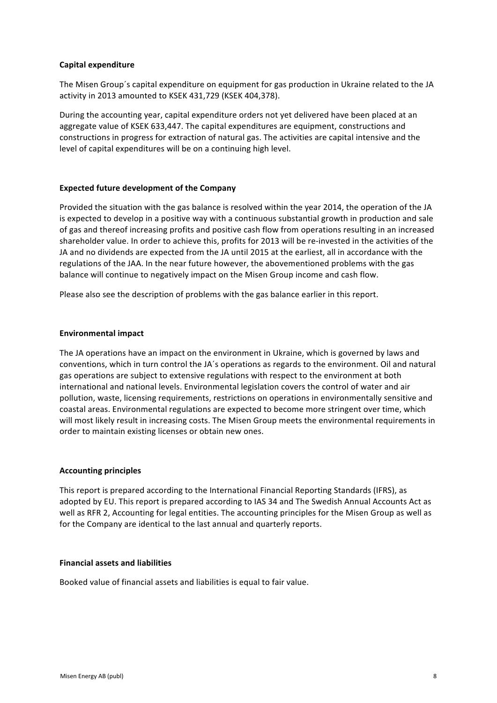## **Capital expenditure**

The Misen Group's capital expenditure on equipment for gas production in Ukraine related to the JA activity in 2013 amounted to KSEK 431,729 (KSEK 404,378).

During the accounting year, capital expenditure orders not yet delivered have been placed at an aggregate value of KSEK 633,447. The capital expenditures are equipment, constructions and constructions in progress for extraction of natural gas. The activities are capital intensive and the level of capital expenditures will be on a continuing high level.

#### **Expected future development of the Company**

Provided the situation with the gas balance is resolved within the year 2014, the operation of the JA is expected to develop in a positive way with a continuous substantial growth in production and sale of gas and thereof increasing profits and positive cash flow from operations resulting in an increased shareholder value. In order to achieve this, profits for 2013 will be re-invested in the activities of the JA and no dividends are expected from the JA until 2015 at the earliest, all in accordance with the regulations of the JAA. In the near future however, the abovementioned problems with the gas balance will continue to negatively impact on the Misen Group income and cash flow.

Please also see the description of problems with the gas balance earlier in this report.

#### **Environmental impact**

The JA operations have an impact on the environment in Ukraine, which is governed by laws and conventions, which in turn control the JA's operations as regards to the environment. Oil and natural gas operations are subject to extensive regulations with respect to the environment at both international and national levels. Environmental legislation covers the control of water and air pollution, waste, licensing requirements, restrictions on operations in environmentally sensitive and coastal areas. Environmental regulations are expected to become more stringent over time, which will most likely result in increasing costs. The Misen Group meets the environmental requirements in order to maintain existing licenses or obtain new ones.

## **Accounting principles**

This report is prepared according to the International Financial Reporting Standards (IFRS), as adopted by EU. This report is prepared according to IAS 34 and The Swedish Annual Accounts Act as well as RFR 2, Accounting for legal entities. The accounting principles for the Misen Group as well as for the Company are identical to the last annual and quarterly reports.

#### **Financial assets and liabilities**

Booked value of financial assets and liabilities is equal to fair value.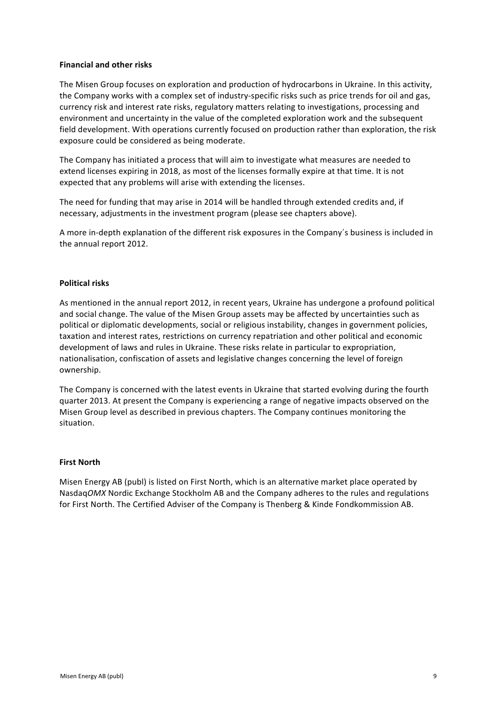#### **Financial and other risks**

The Misen Group focuses on exploration and production of hydrocarbons in Ukraine. In this activity, the Company works with a complex set of industry-specific risks such as price trends for oil and gas, currency risk and interest rate risks, regulatory matters relating to investigations, processing and environment and uncertainty in the value of the completed exploration work and the subsequent field development. With operations currently focused on production rather than exploration, the risk exposure could be considered as being moderate.

The Company has initiated a process that will aim to investigate what measures are needed to extend licenses expiring in 2018, as most of the licenses formally expire at that time. It is not expected that any problems will arise with extending the licenses.

The need for funding that may arise in 2014 will be handled through extended credits and, if necessary, adjustments in the investment program (please see chapters above).

A more in-depth explanation of the different risk exposures in the Company's business is included in the annual report 2012.

#### **Political risks**

As mentioned in the annual report 2012, in recent years, Ukraine has undergone a profound political and social change. The value of the Misen Group assets may be affected by uncertainties such as political or diplomatic developments, social or religious instability, changes in government policies, taxation and interest rates, restrictions on currency repatriation and other political and economic development of laws and rules in Ukraine. These risks relate in particular to expropriation, nationalisation, confiscation of assets and legislative changes concerning the level of foreign ownership. 

The Company is concerned with the latest events in Ukraine that started evolving during the fourth quarter 2013. At present the Company is experiencing a range of negative impacts observed on the Misen Group level as described in previous chapters. The Company continues monitoring the situation.

#### **First North**

Misen Energy AB (publ) is listed on First North, which is an alternative market place operated by Nasdaq*OMX* Nordic Exchange Stockholm AB and the Company adheres to the rules and regulations for First North. The Certified Adviser of the Company is Thenberg & Kinde Fondkommission AB.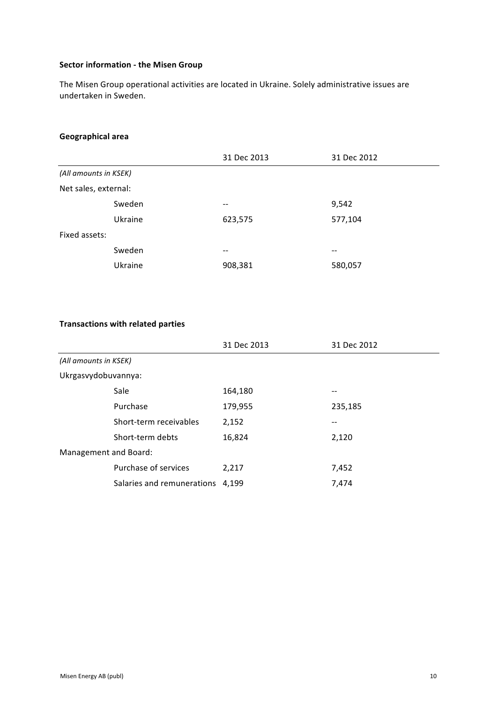# **Sector information - the Misen Group**

The Misen Group operational activities are located in Ukraine. Solely administrative issues are undertaken in Sweden.

## **Geographical area**

|                       |         | 31 Dec 2013              | 31 Dec 2012 |
|-----------------------|---------|--------------------------|-------------|
| (All amounts in KSEK) |         |                          |             |
| Net sales, external:  |         |                          |             |
|                       | Sweden  | $\overline{\phantom{m}}$ | 9,542       |
|                       | Ukraine | 623,575                  | 577,104     |
| Fixed assets:         |         |                          |             |
|                       | Sweden  | $\overline{\phantom{m}}$ | --          |
|                       | Ukraine | 908,381                  | 580,057     |

## **Transactions with related parties**

|                       |                                  | 31 Dec 2013 | 31 Dec 2012 |
|-----------------------|----------------------------------|-------------|-------------|
| (All amounts in KSEK) |                                  |             |             |
| Ukrgasvydobuvannya:   |                                  |             |             |
|                       | Sale                             | 164,180     | --          |
|                       | Purchase                         | 179,955     | 235,185     |
|                       | Short-term receivables           | 2,152       |             |
|                       | Short-term debts                 | 16,824      | 2,120       |
| Management and Board: |                                  |             |             |
|                       | Purchase of services             | 2,217       | 7,452       |
|                       | Salaries and remunerations 4,199 |             | 7,474       |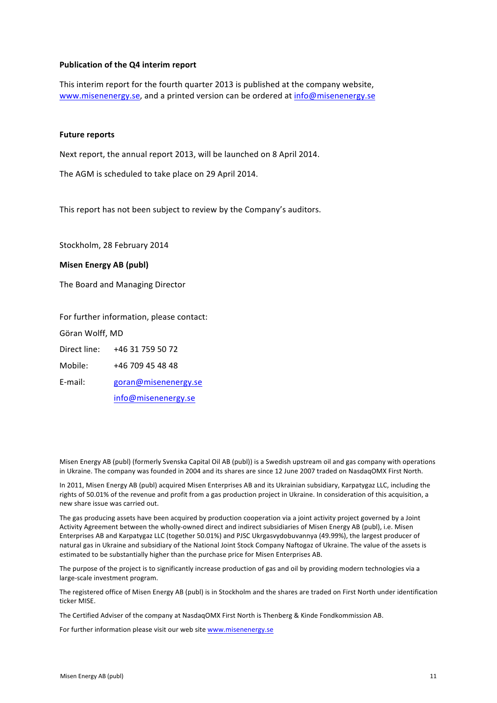#### **Publication of the Q4 interim report**

This interim report for the fourth quarter 2013 is published at the company website, www.misenenergy.se, and a printed version can be ordered at info@misenenergy.se

#### **Future reports**

Next report, the annual report 2013, will be launched on 8 April 2014.

The AGM is scheduled to take place on 29 April 2014.

This report has not been subject to review by the Company's auditors.

Stockholm, 28 February 2014

#### **Misen Energy AB (publ)**

The Board and Managing Director

For further information, please contact:

Göran Wolff, MD

Direct line: +46 31 759 50 72

Mobile: +46 709 45 48 48

E-mail: goran@misenenergy.se

info@misenenergy.se

Misen Energy AB (publ) (formerly Svenska Capital Oil AB (publ)) is a Swedish upstream oil and gas company with operations in Ukraine. The company was founded in 2004 and its shares are since 12 June 2007 traded on NasdaqOMX First North.

In 2011, Misen Energy AB (publ) acquired Misen Enterprises AB and its Ukrainian subsidiary, Karpatygaz LLC, including the rights of 50.01% of the revenue and profit from a gas production project in Ukraine. In consideration of this acquisition, a new share issue was carried out.

The gas producing assets have been acquired by production cooperation via a joint activity project governed by a Joint Activity Agreement between the wholly-owned direct and indirect subsidiaries of Misen Energy AB (publ), i.e. Misen Enterprises AB and Karpatygaz LLC (together 50.01%) and PJSC Ukrgasvydobuvannya (49.99%), the largest producer of natural gas in Ukraine and subsidiary of the National Joint Stock Company Naftogaz of Ukraine. The value of the assets is estimated to be substantially higher than the purchase price for Misen Enterprises AB.

The purpose of the project is to significantly increase production of gas and oil by providing modern technologies via a large-scale investment program.

The registered office of Misen Energy AB (publ) is in Stockholm and the shares are traded on First North under identification ticker MISE.

The Certified Adviser of the company at NasdaqOMX First North is Thenberg & Kinde Fondkommission AB.

For further information please visit our web site www.misenenergy.se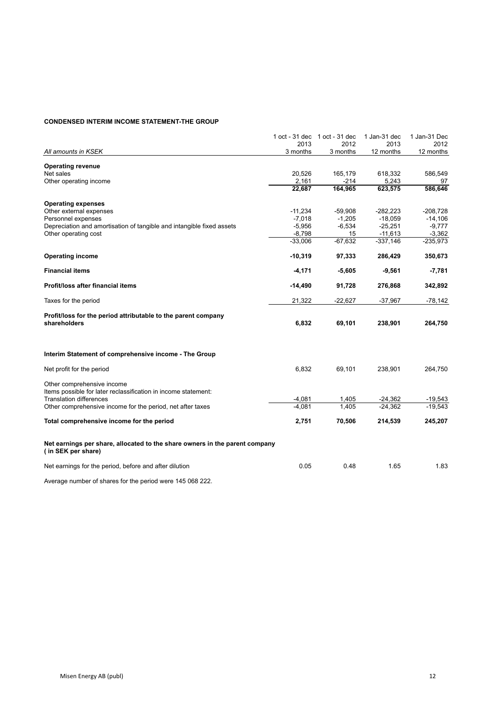#### **CONDENSED INTERIM INCOME STATEMENT-THE GROUP**

|                                                                                                   | 1 oct - 31 dec | 1 oct - 31 dec | 1 Jan-31 dec | 1 Jan-31 Dec |
|---------------------------------------------------------------------------------------------------|----------------|----------------|--------------|--------------|
|                                                                                                   | 2013           | 2012           | 2013         | 2012         |
| All amounts in KSEK                                                                               | 3 months       | 3 months       | 12 months    | 12 months    |
| <b>Operating revenue</b>                                                                          |                |                |              |              |
| Net sales                                                                                         | 20,526         | 165,179        | 618,332      | 586,549      |
| Other operating income                                                                            | 2,161          | $-214$         | 5,243        | 97           |
|                                                                                                   | 22,687         | 164,965        | 623,575      | 586,646      |
| <b>Operating expenses</b>                                                                         |                |                |              |              |
| Other external expenses                                                                           | $-11,234$      | $-59,908$      | $-282,223$   | $-208,728$   |
| Personnel expenses                                                                                | $-7,018$       | $-1,205$       | $-18,059$    | $-14,106$    |
| Depreciation and amortisation of tangible and intangible fixed assets                             | $-5,956$       | $-6,534$       | $-25,251$    | $-9,777$     |
| Other operating cost                                                                              | $-8,798$       | 15             | $-11,613$    | $-3,362$     |
|                                                                                                   | $-33,006$      | $-67,632$      | $-337,146$   | $-235,973$   |
| <b>Operating income</b>                                                                           | $-10,319$      | 97,333         | 286,429      | 350,673      |
| <b>Financial items</b>                                                                            | $-4,171$       | $-5,605$       | $-9,561$     | $-7,781$     |
| Profit/loss after financial items                                                                 | $-14,490$      | 91,728         | 276,868      | 342,892      |
| Taxes for the period                                                                              | 21,322         | $-22,627$      | $-37,967$    | $-78,142$    |
| Profit/loss for the period attributable to the parent company                                     |                |                |              |              |
| shareholders                                                                                      | 6,832          | 69,101         | 238,901      | 264,750      |
| Interim Statement of comprehensive income - The Group                                             |                |                |              |              |
| Net profit for the period                                                                         | 6,832          | 69,101         | 238,901      | 264,750      |
| Other comprehensive income<br>Items possible for later reclassification in income statement:      |                |                |              |              |
| <b>Translation differences</b>                                                                    | $-4,081$       | 1,405          | $-24,362$    | $-19,543$    |
| Other comprehensive income for the period, net after taxes                                        | $-4.081$       | 1.405          | $-24.362$    | $-19.543$    |
| Total comprehensive income for the period                                                         | 2,751          | 70,506         | 214,539      | 245,207      |
| Net earnings per share, allocated to the share owners in the parent company<br>(in SEK per share) |                |                |              |              |
| Net earnings for the period, before and after dilution                                            | 0.05           | 0.48           | 1.65         | 1.83         |
|                                                                                                   |                |                |              |              |

Average number of shares for the period were 145 068 222.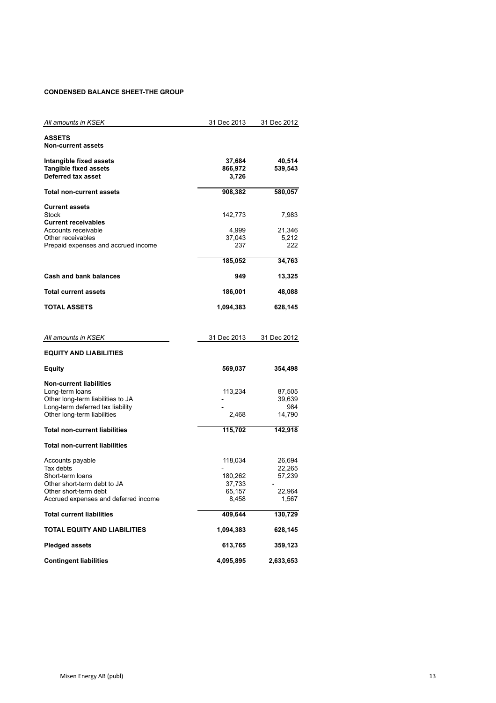#### **CONDENSED BALANCE SHEET-THE GROUP**

| All amounts in KSEK                                                   | 31 Dec 2013     | 31 Dec 2012      |
|-----------------------------------------------------------------------|-----------------|------------------|
|                                                                       |                 |                  |
| ASSETS<br><b>Non-current assets</b>                                   |                 |                  |
|                                                                       |                 |                  |
| Intangible fixed assets                                               | 37,684          | 40,514           |
| <b>Tangible fixed assets</b>                                          | 866,972         | 539,543          |
| Deferred tax asset                                                    | 3,726           |                  |
| Total non-current assets                                              | 908,382         | 580,057          |
|                                                                       |                 |                  |
| <b>Current assets</b>                                                 |                 |                  |
| <b>Stock</b>                                                          | 142,773         | 7,983            |
| <b>Current receivables</b>                                            |                 |                  |
| Accounts receivable<br>Other receivables                              | 4,999<br>37,043 | 21,346<br>5,212  |
| Prepaid expenses and accrued income                                   | 237             | 222              |
|                                                                       |                 |                  |
|                                                                       | 185,052         | 34,763           |
| <b>Cash and bank balances</b>                                         | 949             | 13,325           |
| <b>Total current assets</b>                                           | 186,001         | 48,088           |
|                                                                       |                 |                  |
| <b>TOTAL ASSETS</b>                                                   | 1,094,383       | 628,145          |
|                                                                       |                 |                  |
|                                                                       |                 |                  |
| All amounts in KSEK                                                   | 31 Dec 2013     | 31 Dec 2012      |
| <b>EQUITY AND LIABILITIES</b>                                         |                 |                  |
| Equity                                                                | 569,037         | 354,498          |
|                                                                       |                 |                  |
| <b>Non-current liabilities</b>                                        |                 |                  |
| Long-term loans                                                       | 113,234         | 87,505<br>39,639 |
| Other long-term liabilities to JA<br>Long-term deferred tax liability |                 | 984              |
| Other long-term liabilities                                           | 2,468           | 14,790           |
|                                                                       |                 |                  |
| Total non-current liabilities                                         | 115,702         | 142,918          |
| <b>Total non-current liabilities</b>                                  |                 |                  |
| Accounts payable                                                      | 118,034         | 26,694           |
| Tax debts                                                             |                 | 22,265           |
| Short-term loans                                                      | 180,262         | 57,239           |
| Other short-term debt to JA                                           | 37,733          |                  |
| Other short-term debt                                                 | 65,157          | 22,964           |
| Accrued expenses and deferred income                                  | 8,458           | 1,567            |
| <b>Total current liabilities</b>                                      | 409,644         | 130,729          |
| TOTAL EQUITY AND LIABILITIES                                          | 1,094,383       | 628,145          |
| <b>Pledged assets</b>                                                 | 613,765         | 359,123          |
| <b>Contingent liabilities</b>                                         | 4,095,895       | 2,633,653        |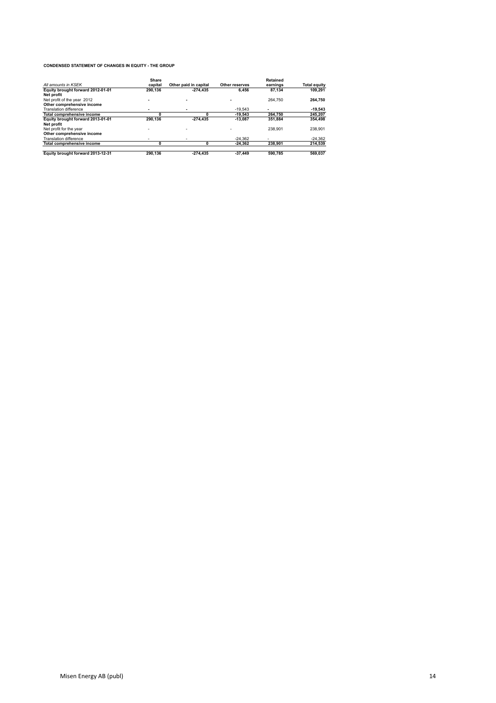#### **CONDENSED STATEMENT OF CHANGES IN EQUITY - THE GROUP**

|                                   | Share                    |                       |                          | <b>Retained</b> |                     |
|-----------------------------------|--------------------------|-----------------------|--------------------------|-----------------|---------------------|
| All amounts in KSEK               | capital                  | Other paid in capital | Other reserves           | earnings        | <b>Total equity</b> |
| Equity brought forward 2012-01-01 | 290.136                  | $-274.435$            | 6.456                    | 87.134          | 109.291             |
| Net profit                        |                          |                       |                          |                 |                     |
| Net profit of the year 2012       | $\overline{\phantom{a}}$ |                       | $\overline{\phantom{a}}$ | 264.750         | 264.750             |
| Other comprehensive income        |                          |                       |                          |                 |                     |
| Translation difference            |                          |                       | $-19.543$                |                 | $-19.543$           |
| Total comprehensive income        |                          |                       | $-19.543$                | 264.750         | 245,207             |
| Equity brought forward 2013-01-01 | 290.136                  | $-274.435$            | $-13.087$                | 351.884         | 354,498             |
| Net profit                        |                          |                       |                          |                 |                     |
| Net profit for the year           | $\sim$                   |                       |                          | 238.901         | 238.901             |
| Other comprehensive income        |                          |                       |                          |                 |                     |
| Translation difference            |                          |                       | $-24.362$                |                 | $-24.362$           |
| Total comprehensive income        |                          |                       | $-24.362$                | 238.901         | 214.539             |
| Equity brought forward 2013-12-31 | 290.136                  | $-274.435$            | $-37.449$                | 590.785         | 569.037             |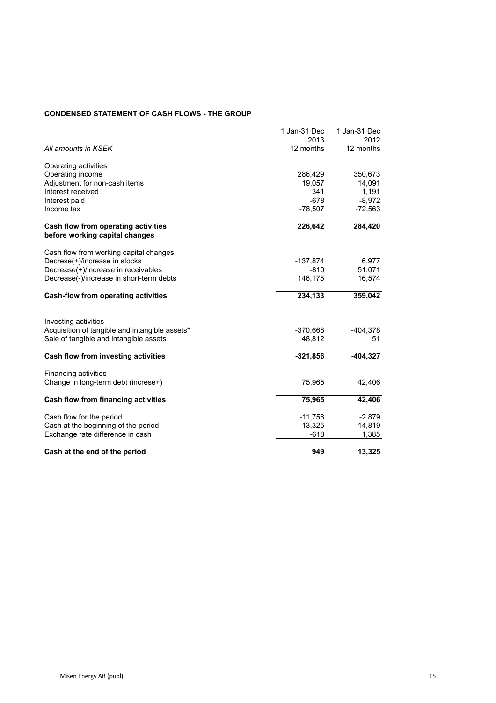## **CONDENSED STATEMENT OF CASH FLOWS - THE GROUP**

|                                                                       | 1 Jan-31 Dec | 1 Jan-31 Dec |
|-----------------------------------------------------------------------|--------------|--------------|
|                                                                       | 2013         | 2012         |
| All amounts in KSEK                                                   | 12 months    | 12 months    |
|                                                                       |              |              |
| Operating activities                                                  |              |              |
| Operating income                                                      | 286,429      | 350,673      |
| Adjustment for non-cash items                                         | 19,057       | 14,091       |
| Interest received                                                     | 341          | 1,191        |
| Interest paid                                                         | $-678$       | $-8,972$     |
| Income tax                                                            | $-78,507$    | $-72,563$    |
| Cash flow from operating activities<br>before working capital changes | 226,642      | 284,420      |
|                                                                       |              |              |
| Cash flow from working capital changes                                |              |              |
| Decrese(+)/increase in stocks                                         | -137,874     | 6,977        |
| Decrease(+)/increase in receivables                                   | $-810$       | 51,071       |
| Decrease(-)/increase in short-term debts                              | 146,175      | 16,574       |
|                                                                       |              |              |
| Cash-flow from operating activities                                   | 234,133      | 359,042      |
|                                                                       |              |              |
| Investing activities                                                  |              |              |
| Acquisition of tangible and intangible assets*                        | $-370,668$   | $-404,378$   |
| Sale of tangible and intangible assets                                | 48,812       | 51           |
| Cash flow from investing activities                                   | $-321,856$   | $-404,327$   |
|                                                                       |              |              |
| Financing activities                                                  |              |              |
| Change in long-term debt (increse+)                                   | 75,965       | 42,406       |
| Cash flow from financing activities                                   | 75,965       | 42,406       |
| Cash flow for the period                                              | $-11,758$    | $-2,879$     |
| Cash at the beginning of the period                                   | 13,325       | 14,819       |
| Exchange rate difference in cash                                      | -618         | 1,385        |
|                                                                       |              |              |
| Cash at the end of the period                                         | 949          | 13,325       |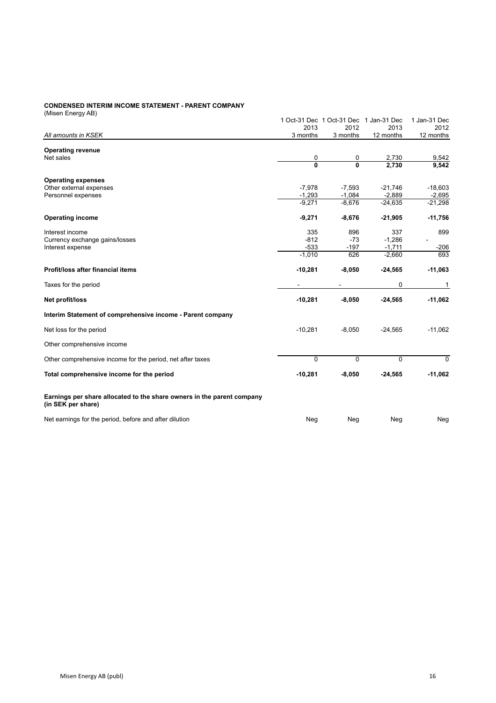#### **CONDENSED INTERIM INCOME STATEMENT - PARENT COMPANY**

| (Misen Energy AB)                                                                            |                |                                        |           |              |
|----------------------------------------------------------------------------------------------|----------------|----------------------------------------|-----------|--------------|
|                                                                                              |                | 1 Oct-31 Dec 1 Oct-31 Dec 1 Jan-31 Dec |           | 1 Jan-31 Dec |
|                                                                                              | 2013           | 2012                                   | 2013      | 2012         |
| All amounts in KSEK                                                                          | 3 months       | 3 months                               | 12 months | 12 months    |
|                                                                                              |                |                                        |           |              |
| <b>Operating revenue</b><br>Net sales                                                        | 0              | 0                                      | 2,730     | 9,542        |
|                                                                                              | $\overline{0}$ | $\overline{0}$                         | 2.730     | 9.542        |
|                                                                                              |                |                                        |           |              |
| <b>Operating expenses</b>                                                                    |                |                                        |           |              |
| Other external expenses                                                                      | $-7,978$       | $-7,593$                               | $-21,746$ | $-18,603$    |
| Personnel expenses                                                                           | $-1,293$       | $-1,084$                               | $-2,889$  | $-2,695$     |
|                                                                                              | $-9,271$       | $-8,676$                               | $-24,635$ | $-21,298$    |
| <b>Operating income</b>                                                                      | $-9,271$       | $-8,676$                               | $-21,905$ | $-11,756$    |
|                                                                                              |                |                                        |           |              |
| Interest income                                                                              | 335            | 896                                    | 337       | 899          |
| Currency exchange gains/losses                                                               | $-812$         | $-73$                                  | $-1,286$  |              |
| Interest expense                                                                             | $-533$         | $-197$                                 | $-1,711$  | $-206$       |
|                                                                                              | $-1,010$       | 626                                    | $-2,660$  | 693          |
| Profit/loss after financial items                                                            | $-10,281$      | $-8,050$                               | $-24,565$ | $-11,063$    |
| Taxes for the period                                                                         |                | $\overline{\phantom{a}}$               | 0         | 1            |
| Net profit/loss                                                                              | $-10,281$      | $-8,050$                               | $-24,565$ | $-11,062$    |
| Interim Statement of comprehensive income - Parent company                                   |                |                                        |           |              |
| Net loss for the period                                                                      | $-10,281$      | $-8,050$                               | $-24,565$ | $-11,062$    |
| Other comprehensive income                                                                   |                |                                        |           |              |
| Other comprehensive income for the period, net after taxes                                   | 0              | $\Omega$                               | $\Omega$  | $\Omega$     |
| Total comprehensive income for the period                                                    | $-10,281$      | $-8,050$                               | $-24,565$ | $-11,062$    |
| Earnings per share allocated to the share owners in the parent company<br>(in SEK per share) |                |                                        |           |              |
| Net earnings for the period, before and after dilution                                       | Neg            | Neg                                    | Neg       | Neg          |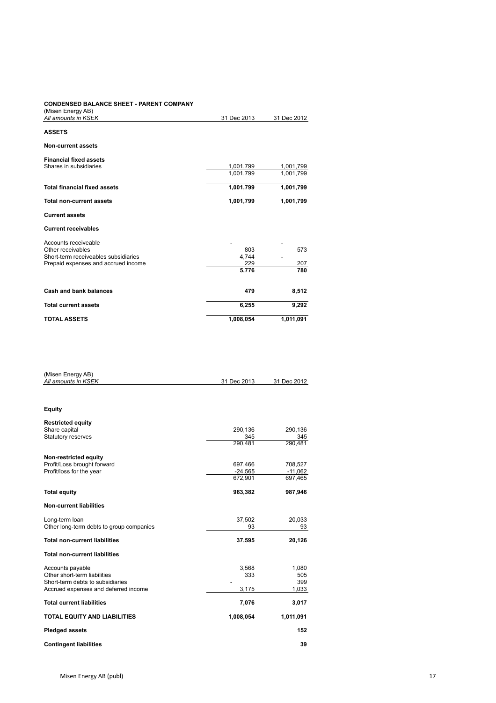#### **CONDENSED BALANCE SHEET - PARENT COMPANY** (Misen Energy AB)

| <b>TOTAL ASSETS</b>                                     | 1,008,054   | 1,011,091   |  |
|---------------------------------------------------------|-------------|-------------|--|
| <b>Total current assets</b>                             | 6,255       | 9,292       |  |
| Cash and bank balances                                  | 479         | 8,512       |  |
|                                                         | 5,776       | 780         |  |
| Prepaid expenses and accrued income                     | 229         | 207         |  |
| Short-term receiveables subsidiaries                    | 4,744       |             |  |
| Accounts receiveable<br>Other receivables               | 803         | 573         |  |
| <b>Current receivables</b>                              |             |             |  |
| <b>Current assets</b>                                   |             |             |  |
| <b>Total non-current assets</b>                         | 1,001,799   | 1,001,799   |  |
| <b>Total financial fixed assets</b>                     | 1,001,799   | 1,001,799   |  |
|                                                         |             |             |  |
|                                                         | 1,001,799   | 1,001,799   |  |
| <b>Financial fixed assets</b><br>Shares in subsidiaries | 1,001,799   | 1,001,799   |  |
| Non-current assets                                      |             |             |  |
| <b>ASSETS</b>                                           |             |             |  |
| All amounts in KSEK                                     | 31 Dec 2013 | 31 Dec 2012 |  |
| (ivisent energy AD)                                     |             |             |  |

| (Misen Energy AB)<br>All amounts in KSEK | 31 Dec 2013 | 31 Dec 2012 |
|------------------------------------------|-------------|-------------|
|                                          |             |             |
| <b>Equity</b>                            |             |             |
| <b>Restricted equity</b>                 |             |             |
| Share capital                            | 290,136     | 290,136     |
| Statutory reserves                       | 345         | 345         |
|                                          | 290.481     | 290,481     |
| Non-restricted equity                    |             |             |
| Profit/Loss brought forward              | 697,466     | 708,527     |
| Profit/loss for the year                 | $-24,565$   | $-11,062$   |
|                                          | 672,901     | 697,465     |
| <b>Total equity</b>                      | 963,382     | 987,946     |
| <b>Non-current liabilities</b>           |             |             |
| Long-term loan                           | 37,502      | 20,033      |
| Other long-term debts to group companies | 93          | 93          |
| <b>Total non-current liabilities</b>     | 37,595      | 20,126      |
| <b>Total non-current liabilities</b>     |             |             |
| Accounts payable                         | 3,568       | 1,080       |
| Other short-term liabilities             | 333         | 505         |
| Short-term debts to subsidiaries         |             | 399         |
| Accrued expenses and deferred income     | 3,175       | 1,033       |
| <b>Total current liabilities</b>         | 7,076       | 3,017       |
| <b>TOTAL EQUITY AND LIABILITIES</b>      | 1,008,054   | 1,011,091   |
| <b>Pledged assets</b>                    |             | 152         |
| <b>Contingent liabilities</b>            |             | 39          |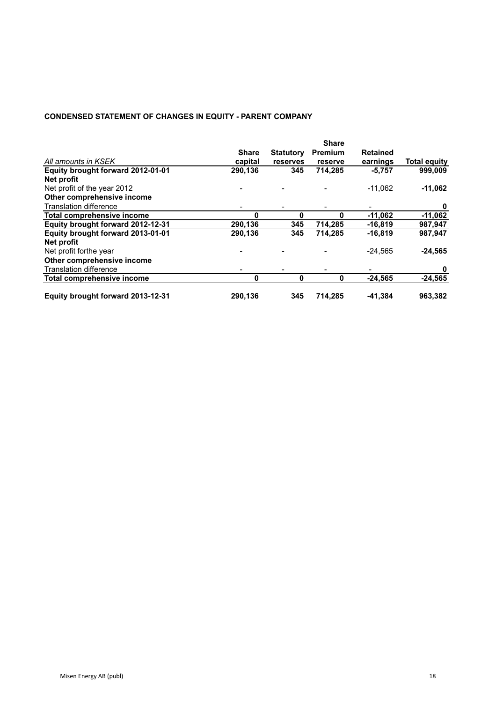# **CONDENSED STATEMENT OF CHANGES IN EQUITY - PARENT COMPANY**

|                                   | <b>Share</b>             |                  |         |                 |                     |  |
|-----------------------------------|--------------------------|------------------|---------|-----------------|---------------------|--|
|                                   | <b>Share</b>             | <b>Statutory</b> | Premium | <b>Retained</b> |                     |  |
| All amounts in KSEK               | capital                  | reserves         | reserve | earnings        | <b>Total equity</b> |  |
| Equity brought forward 2012-01-01 | 290,136                  | 345              | 714,285 | $-5,757$        | 999,009             |  |
| Net profit                        |                          |                  |         |                 |                     |  |
| Net profit of the year 2012       |                          |                  |         | $-11.062$       | $-11,062$           |  |
| Other comprehensive income        |                          |                  |         |                 |                     |  |
| <b>Translation difference</b>     | $\overline{\phantom{0}}$ |                  |         |                 | 0                   |  |
| Total comprehensive income        | O                        | 0                | O       | $-11.062$       | $-11,062$           |  |
| Equity brought forward 2012-12-31 | 290,136                  | 345              | 714,285 | $-16,819$       | 987,947             |  |
| Equity brought forward 2013-01-01 | 290,136                  | 345              | 714,285 | $-16,819$       | 987,947             |  |
| Net profit                        |                          |                  |         |                 |                     |  |
| Net profit forthe year            |                          |                  |         | $-24,565$       | $-24,565$           |  |
| Other comprehensive income        |                          |                  |         |                 |                     |  |
| <b>Translation difference</b>     | $\overline{\phantom{a}}$ |                  |         |                 | 0                   |  |
| Total comprehensive income        | $\bf{0}$                 | 0                | 0       | $-24.565$       | $-24,565$           |  |
| Equity brought forward 2013-12-31 | 290,136                  | 345              | 714,285 | $-41,384$       | 963,382             |  |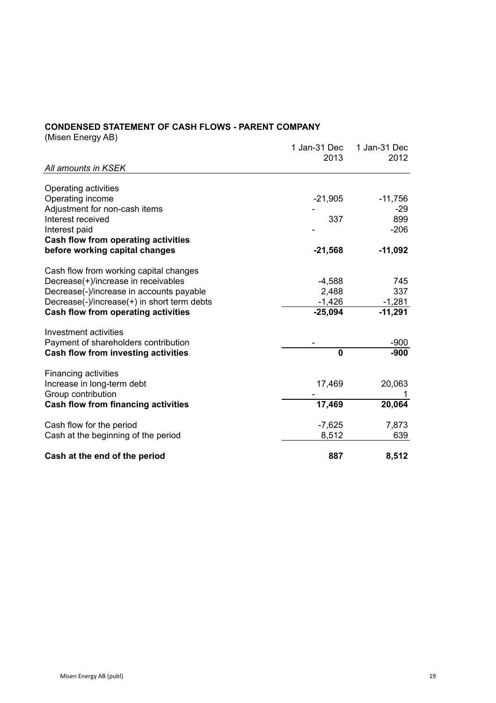# **CONDENSED STATEMENT OF CASH FLOWS - PARENT COMPANY**

(Misen Energy AB)

|                                             | 1 Jan-31 Dec<br>2013 | 1 Jan-31 Dec<br>2012 |
|---------------------------------------------|----------------------|----------------------|
| All amounts in KSEK                         |                      |                      |
|                                             |                      |                      |
| Operating activities                        |                      |                      |
| Operating income                            | $-21,905$            | $-11,756$            |
| Adjustment for non-cash items               |                      | -29                  |
| Interest received                           | 337                  | 899                  |
| Interest paid                               |                      | $-206$               |
| Cash flow from operating activities         |                      |                      |
| before working capital changes              | $-21,568$            | $-11,092$            |
| Cash flow from working capital changes      |                      |                      |
| Decrease(+)/increase in receivables         | $-4,588$             | 745                  |
| Decrease(-)/increase in accounts payable    | 2,488                | 337                  |
| Decrease(-)/increase(+) in short term debts | $-1,426$             | $-1,281$             |
| <b>Cash flow from operating activities</b>  | $-25,094$            | $-11,291$            |
| Investment activities                       |                      |                      |
| Payment of shareholders contribution        |                      | -900                 |
| <b>Cash flow from investing activities</b>  | $\mathbf{0}$         | $-900$               |
| <b>Financing activities</b>                 |                      |                      |
| Increase in long-term debt                  | 17,469               | 20,063               |
| Group contribution                          |                      |                      |
| <b>Cash flow from financing activities</b>  | 17,469               | 20,064               |
| Cash flow for the period                    | $-7,625$             | 7,873                |
| Cash at the beginning of the period         | 8,512                | 639                  |
| Cash at the end of the period               | 887                  | 8,512                |